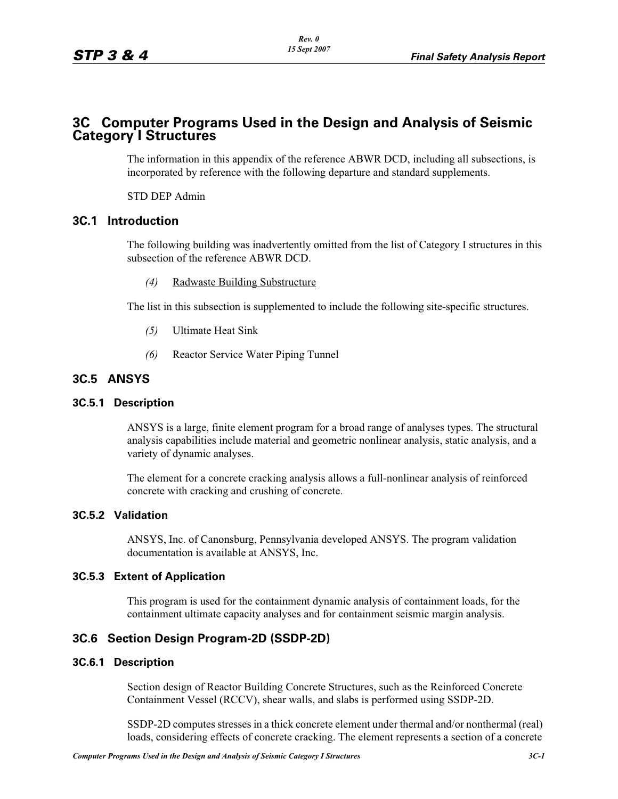# **3C Computer Programs Used in the Design and Analysis of Seismic Category I Structures**

The information in this appendix of the reference ABWR DCD, including all subsections, is incorporated by reference with the following departure and standard supplements.

STD DEP Admin

# **3C.1 Introduction**

The following building was inadvertently omitted from the list of Category I structures in this subsection of the reference ABWR DCD.

*(4)* Radwaste Building Substructure

The list in this subsection is supplemented to include the following site-specific structures.

- *(5)* Ultimate Heat Sink
- *(6)* Reactor Service Water Piping Tunnel

# **3C.5 ANSYS**

# **3C.5.1 Description**

ANSYS is a large, finite element program for a broad range of analyses types. The structural analysis capabilities include material and geometric nonlinear analysis, static analysis, and a variety of dynamic analyses.

The element for a concrete cracking analysis allows a full-nonlinear analysis of reinforced concrete with cracking and crushing of concrete.

### **3C.5.2 Validation**

ANSYS, Inc. of Canonsburg, Pennsylvania developed ANSYS. The program validation documentation is available at ANSYS, Inc.

### **3C.5.3 Extent of Application**

This program is used for the containment dynamic analysis of containment loads, for the containment ultimate capacity analyses and for containment seismic margin analysis.

# **3C.6 Section Design Program-2D (SSDP-2D)**

### **3C.6.1 Description**

Section design of Reactor Building Concrete Structures, such as the Reinforced Concrete Containment Vessel (RCCV), shear walls, and slabs is performed using SSDP-2D.

SSDP-2D computes stresses in a thick concrete element under thermal and/or nonthermal (real) loads, considering effects of concrete cracking. The element represents a section of a concrete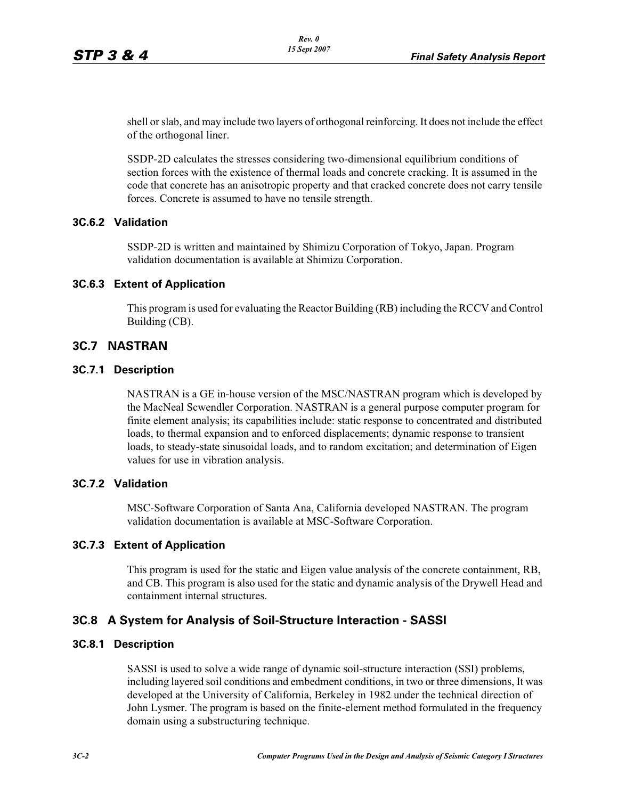shell or slab, and may include two layers of orthogonal reinforcing. It does not include the effect of the orthogonal liner.

SSDP-2D calculates the stresses considering two-dimensional equilibrium conditions of section forces with the existence of thermal loads and concrete cracking. It is assumed in the code that concrete has an anisotropic property and that cracked concrete does not carry tensile forces. Concrete is assumed to have no tensile strength.

# **3C.6.2 Validation**

SSDP-2D is written and maintained by Shimizu Corporation of Tokyo, Japan. Program validation documentation is available at Shimizu Corporation.

### **3C.6.3 Extent of Application**

This program is used for evaluating the Reactor Building (RB) including the RCCV and Control Building (CB).

# **3C.7 NASTRAN**

### **3C.7.1 Description**

NASTRAN is a GE in-house version of the MSC/NASTRAN program which is developed by the MacNeal Scwendler Corporation. NASTRAN is a general purpose computer program for finite element analysis; its capabilities include: static response to concentrated and distributed loads, to thermal expansion and to enforced displacements; dynamic response to transient loads, to steady-state sinusoidal loads, and to random excitation; and determination of Eigen values for use in vibration analysis.

### **3C.7.2 Validation**

MSC-Software Corporation of Santa Ana, California developed NASTRAN. The program validation documentation is available at MSC-Software Corporation.

### **3C.7.3 Extent of Application**

This program is used for the static and Eigen value analysis of the concrete containment, RB, and CB. This program is also used for the static and dynamic analysis of the Drywell Head and containment internal structures.

# **3C.8 A System for Analysis of Soil-Structure Interaction - SASSI**

### **3C.8.1 Description**

SASSI is used to solve a wide range of dynamic soil-structure interaction (SSI) problems, including layered soil conditions and embedment conditions, in two or three dimensions, It was developed at the University of California, Berkeley in 1982 under the technical direction of John Lysmer. The program is based on the finite-element method formulated in the frequency domain using a substructuring technique.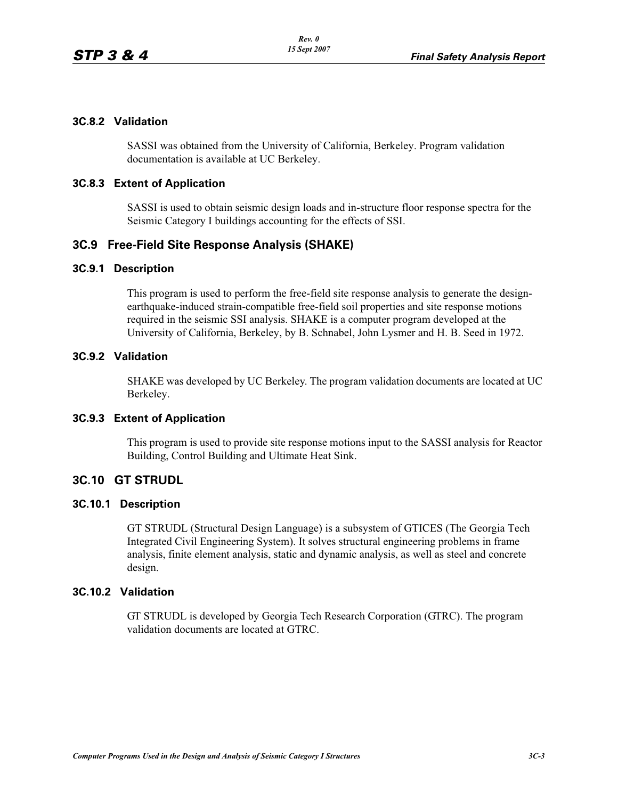# **3C.8.2 Validation**

SASSI was obtained from the University of California, Berkeley. Program validation documentation is available at UC Berkeley.

### **3C.8.3 Extent of Application**

SASSI is used to obtain seismic design loads and in-structure floor response spectra for the Seismic Category I buildings accounting for the effects of SSI.

# **3C.9 Free-Field Site Response Analysis (SHAKE)**

### **3C.9.1 Description**

This program is used to perform the free-field site response analysis to generate the designearthquake-induced strain-compatible free-field soil properties and site response motions required in the seismic SSI analysis. SHAKE is a computer program developed at the University of California, Berkeley, by B. Schnabel, John Lysmer and H. B. Seed in 1972.

### **3C.9.2 Validation**

SHAKE was developed by UC Berkeley. The program validation documents are located at UC Berkeley.

### **3C.9.3 Extent of Application**

This program is used to provide site response motions input to the SASSI analysis for Reactor Building, Control Building and Ultimate Heat Sink.

### **3C.10 GT STRUDL**

### **3C.10.1 Description**

GT STRUDL (Structural Design Language) is a subsystem of GTICES (The Georgia Tech Integrated Civil Engineering System). It solves structural engineering problems in frame analysis, finite element analysis, static and dynamic analysis, as well as steel and concrete design.

#### **3C.10.2 Validation**

GT STRUDL is developed by Georgia Tech Research Corporation (GTRC). The program validation documents are located at GTRC.